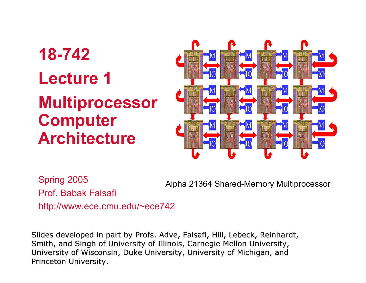# **18-742Lecture 1Multiprocessor Computer Architecture**



Spring 2005 Prof. Babak Falsafihttp://www.ece.cmu.edu/~ece742

Alpha 21364 Shared-Memory Multiprocessor

Slides developed in part by Profs. Adve, Falsafi, Hill, Lebeck, Reinhardt, Smith, and Singh of University of Illinois, Carnegie Mellon University, University of Wisconsin, Duke University, University of Michigan, and Princeton University.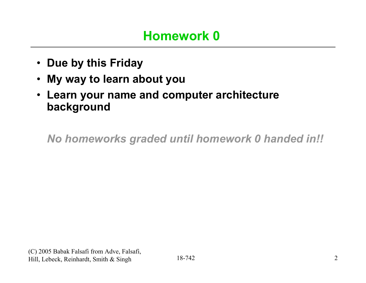- **Due by this Friday**
- $\bullet$ **My way to learn about you**
- **Learn your name and computer architecture background**

*No homeworks graded until homework 0 handed in!!*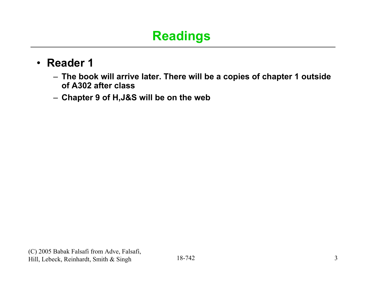## **Readings**

#### • **Reader 1**

- **The book will arrive later. There will be a copies of chapter 1 outside of A302 after class**
- **Chapter 9 of H,J&S will be on the web**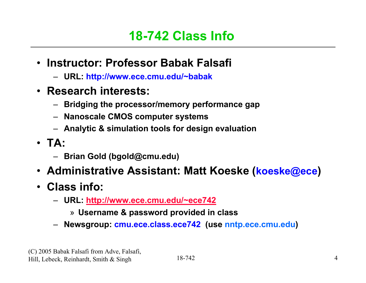#### **18-742 Class Info**

- **Instructor: Professor Babak Falsafi**
	- **URL: http://www.ece.cmu.edu/~babak**
- **Research interests:**
	- **Bridging the processor/memory performance gap**
	- **Nanoscale CMOS computer systems**
	- **Analytic & simulation tools for design evaluation**
- **TA:** 
	- **Brian Gold (bgold@cmu.edu)**
- **Administrative Assistant: Matt Koeske (koeske@ece)**
- **Class info:**
	- **URL: http://www.ece.cmu.edu/~ece742**
		- » **Username & password provided in class**
	- **Newsgroup: cmu.ece.class.ece742 (use nntp.ece.cmu.edu)**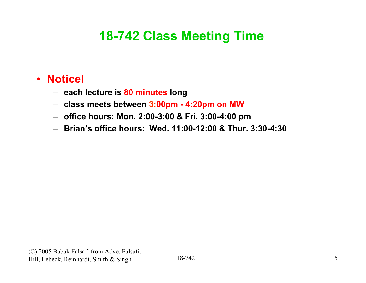## **18-742 Class Meeting Time**

#### • **Notice!**

- **each lecture is 80 minutes long**
- **class meets between 3:00pm - 4:20pm on MW**
- **office hours: Mon. 2:00-3:00 & Fri. 3:00-4:00 pm**
- **Brian's office hours: Wed. 11:00-12:00 & Thur. 3:30-4:30**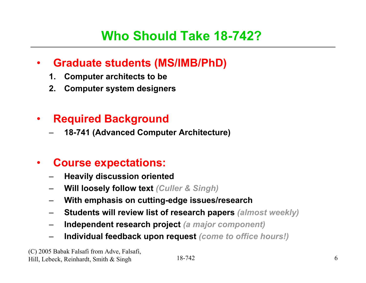#### •**Graduate students (MS/IMB/PhD)**

- **1. Computer architects to be**
- **2. Computer system designers**

#### •**Required Background**

**18-741 (Advanced Computer Architecture)**

#### •**Course expectations:**

- **Heavily discussion oriented**
- **Will loosely follow text** *(Culler & Singh)*
- **With emphasis on cutting-edge issues/research**
- **Students will review list of research papers** *(almost weekly)*
- **Independent research project** *(a major component)*
- **Individual feedback upon request** *(come to office hours!)*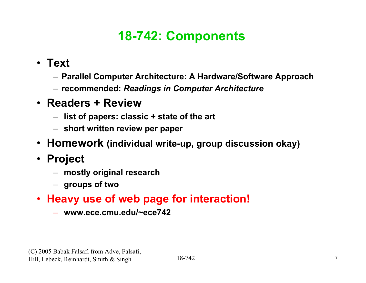## **18-742: Components**

- **Text**
	- **Parallel Computer Architecture: A Hardware/Software Approach**
	- **recommended:** *Readings in Computer Architecture*
- **Readers + Review**
	- **list of papers: classic + state of the art**
	- **short written review per paper**
- **Homework (individual write-up, group discussion okay)**
- **Project**
	- **mostly original research**
	- **groups of two**
- **Heavy use of web page for interaction!**
	- **www.ece.cmu.edu/~ece742**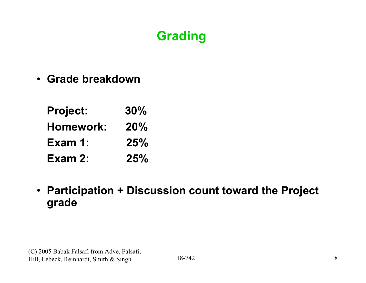• **Grade breakdown**

| <b>Project:</b> | 30% |
|-----------------|-----|
| Homework:       | 20% |
| Exam 1:         | 25% |
| Exam 2:         | 25% |

• **Participation + Discussion count toward the Project grade**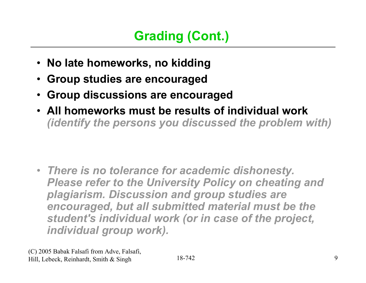- **No late homeworks, no kidding**
- •**Group studies are encouraged**
- •**Group discussions are encouraged**
- **All homeworks must be results of individual work**  *(identify the persons you discussed the problem with)*

• *There is no tolerance for academic dishonesty. Please refer to the University Policy on cheating and plagiarism. Discussion and group studies are encouraged, but all submitted material must be the student's individual work (or in case of the project, individual group work).*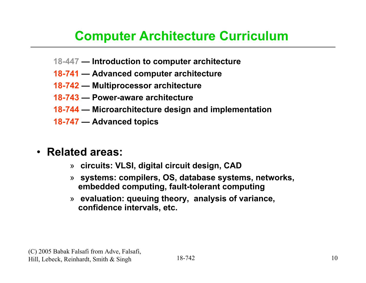## **Computer Architecture Curriculum**

- **18-447 — Introduction to computer architecture**
- **18-741 — Advanced computer architecture**
- **18-742 — Multiprocessor architecture**
- **18-743 — Power-aware architecture**
- **18-744 — Microarchitecture design and implementation**
- **18-747 — Advanced topics**

#### • **Related areas:**

- » **circuits: VLSI, digital circuit design, CAD**
- » **systems: compilers, OS, database systems, networks, embedded computing, fault-tolerant computing**
- » **evaluation: queuing theory, analysis of variance, confidence intervals, etc.**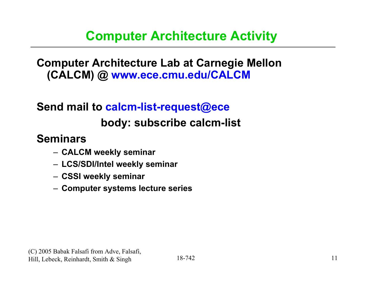### **Computer Architecture Activity**

**Computer Architecture Lab at Carnegie Mellon (CALCM) @ www.ece.cmu.edu/CALCM**

## **Send mail to calcm-list-request@ece body: subscribe calcm-list**

#### **Seminars**

- **CALCM weekly seminar**
- **LCS/SDI/Intel weekly seminar**
- **CSSI weekly seminar**
- **Computer systems lecture series**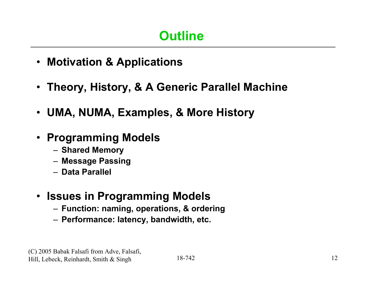- **Motivation & Applications**
- **Theory, History, & A Generic Parallel Machine**
- **UMA, NUMA, Examples, & More History**
- **Programming Models**
	- **Shared Memory**
	- **Message Passing**
	- **Data Parallel**
- **Issues in Programming Models**
	- **Function: naming, operations, & ordering**
	- **Performance: latency, bandwidth, etc.**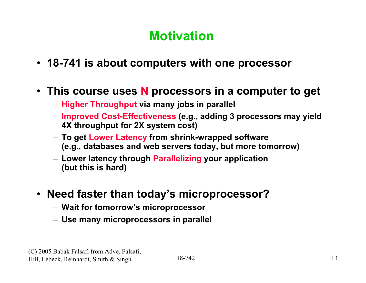- **18-741 is about computers with one processor**
- **This course uses N processors in a computer to get**
	- **Higher Throughput via many jobs in parallel**
	- **Improved Cost-Effectiveness (e.g., adding 3 processors may yield 4X throughput for 2X system cost)**
	- **To get Lower Latency from shrink-wrapped software (e.g., databases and web servers today, but more tomorrow)**
	- **Lower latency through Parallelizing your application (but this is hard)**
- **Need faster than today's microprocessor?**
	- **Wait for tomorrow's microprocessor**
	- **Use many microprocessors in parallel**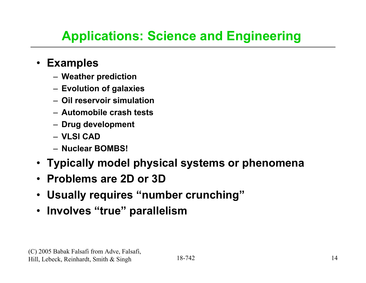## **Applications: Science and Engineering**

#### • **Examples**

- **Weather prediction**
- **Evolution of galaxies**
- **Oil reservoir simulation**
- **Automobile crash tests**
- **Drug development**
- **VLSI CAD**
- **Nuclear BOMBS!**
- **Typically model physical systems or phenomena**
- **Problems are 2D or 3D**
- **Usually requires "number crunching"**
- **Involves "true" parallelism**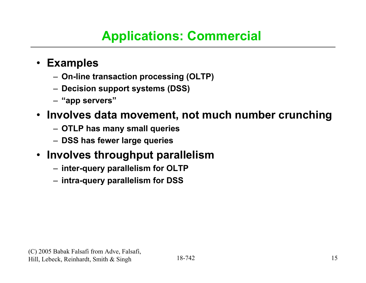## **Applications: Commercial**

#### • **Examples**

- **On-line transaction processing (OLTP)**
- **Decision support systems (DSS)**
- **"app servers"**

#### • **Involves data movement, not much number crunching**

- **OTLP has many small queries**
- **DSS has fewer large queries**

#### • **Involves throughput parallelism**

- **inter-query parallelism for OLTP**
- **intra-query parallelism for DSS**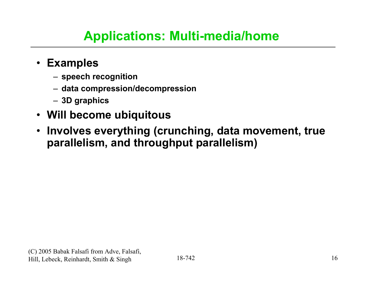## **Applications: Multi-media/home**

#### • **Examples**

- **speech recognition**
- **data compression/decompression**
- **3D graphics**
- **Will become ubiquitous**
- **Involves everything (crunching, data movement, true parallelism, and throughput parallelism)**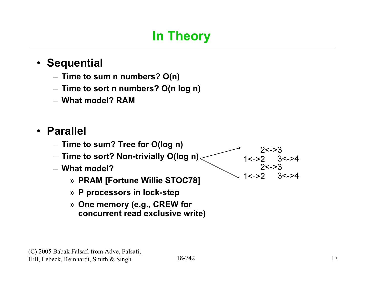## **In Theory**

#### • **Sequential**

- **Time to sum n numbers? O(n)**
- **Time to sort n numbers? O(n log n)**
- **What model? RAM**

#### • **Parallel**

- **Time to sum? Tree for O(log n)**
- **Time to sort? Non-trivially O(log n)**
- **What model?**
	- » **PRAM [Fortune Willie STOC78]**
	- » **P processors in lock-step**
	- » **One memory (e.g., CREW for concurrent read exclusive write)**



 $2 < -3$  1<->2 3<->4  $2 < -3$ 

1<->2 3<->4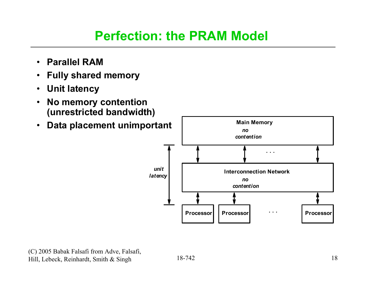#### **Perfection: the PRAM Model**

- **Parallel RAM**
- $\bullet$ **Fully shared memory**
- $\bullet$ **Unit latency**
- $\bullet$  **No memory contention (unrestricted bandwidth)**
- $\bullet$ **Data placement unimportant**

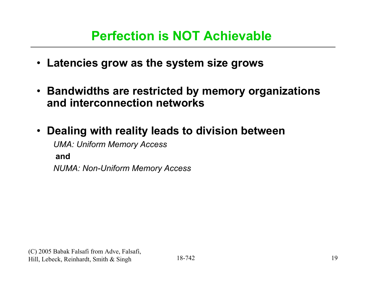#### **Perfection is NOT Achievable**

- **Latencies grow as the system size grows**
- **Bandwidths are restricted by memory organizations and interconnection networks**
- **Dealing with reality leads to division between** *UMA: Uniform Memory Access* **and** *NUMA: Non-Uniform Memory Access*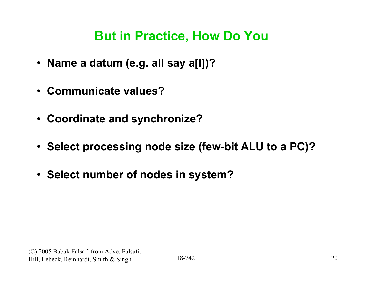#### **But in Practice, How Do You**

- **Name a datum (e.g. all say a[I])?**
- **Communicate values?**
- **Coordinate and synchronize?**
- **Select processing node size (few-bit ALU to a PC)?**
- **Select number of nodes in system?**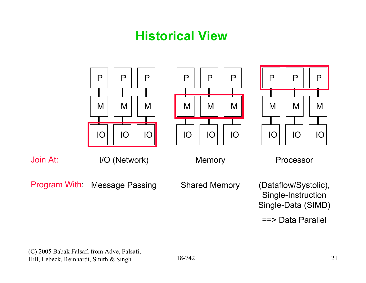#### **Historical View**

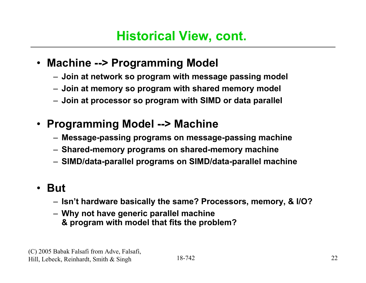#### • **Machine --> Programming Model**

- **Join at network so program with message passing model**
- **Join at memory so program with shared memory model**
- **Join at processor so program with SIMD or data parallel**
- **Programming Model --> Machine**
	- **Message-passing programs on message-passing machine**
	- **Shared-memory programs on shared-memory machine**
	- **SIMD/data-parallel programs on SIMD/data-parallel machine**

#### • **But**

- **Isn't hardware basically the same? Processors, memory, & I/O?**
- **Why not have generic parallel machine & program with model that fits the problem?**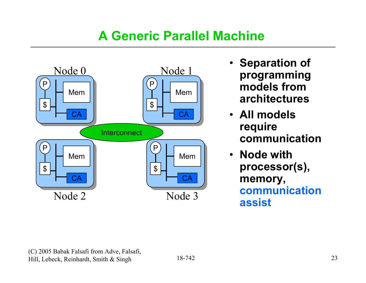## **A Generic Parallel Machine**



- **Separation of programming models from architectures**
- **All models require communication**
- **Node with processor(s), memory, communication assist**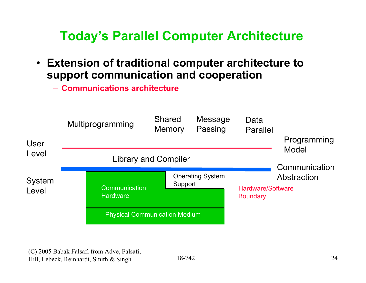## **Today's Parallel Computer Architecture**

- **Extension of traditional computer architecture to support communication and cooperation**
	- **Communications architecture**

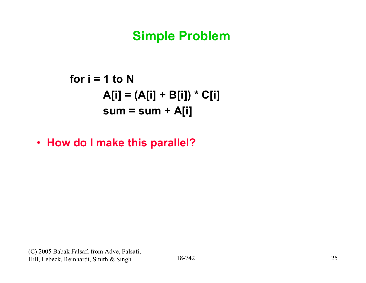### **Simple Problem**

**for i = 1 to NA[i] = (A[i] + B[i]) \* C[i] sum = sum + A[i]**

• **How do I make this parallel?**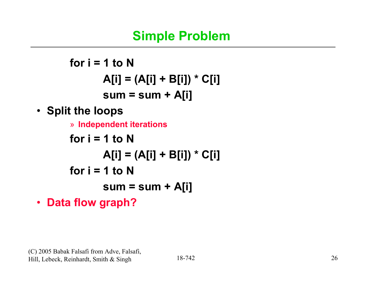### **Simple Problem**

**for i = 1 to NA[i] = (A[i] + B[i]) \* C[i] sum = sum + A[i]** • **Split the loops** » **Independent iterations for i = 1 to NA[i] = (A[i] + B[i]) \* C[i] for i = 1 to Nsum = sum + A[i]**

• **Data flow graph?**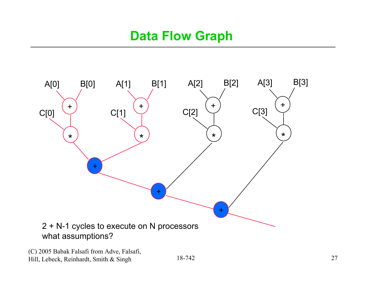### **Data Flow Graph**

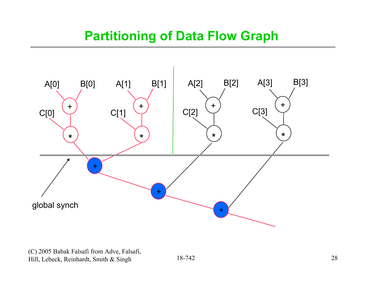### **Partitioning of Data Flow Graph**

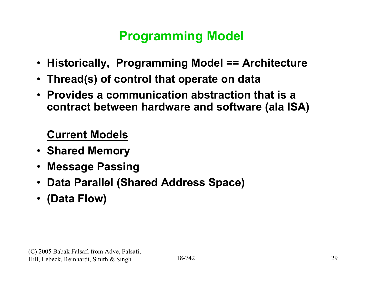- **Historically, Programming Model == Architecture**
- **Thread(s) of control that operate on data**
- **Provides a communication abstraction that is a contract between hardware and software (ala ISA)**

#### **Current Models**

- **Shared Memory**
- •**Message Passing**
- •**Data Parallel (Shared Address Space)**
- •**(Data Flow)**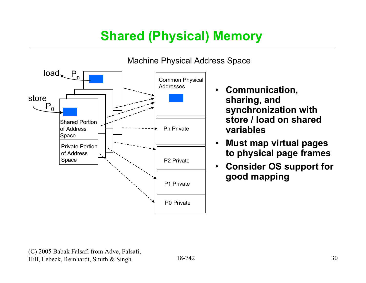## **Shared (Physical) Memory**



#### Machine Physical Address Space

- • **Communication, sharing, and synchronization with store / load on shared variables**
- • **Must map virtual pages to physical page frames**
- • **Consider OS support for good mapping**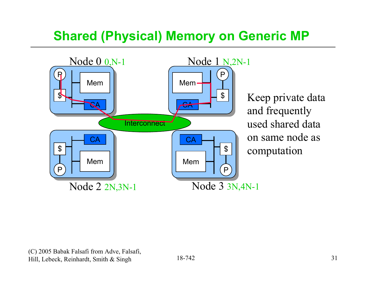## **Shared (Physical) Memory on Generic MP**



Keep private data and frequently used shared data on same node as computation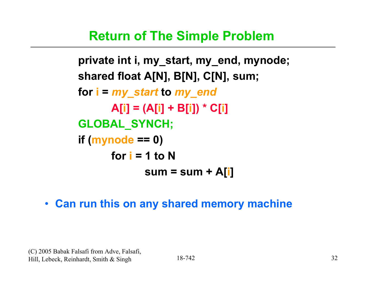#### **Return of The Simple Problem**

**private int i, my\_start, my\_end, mynode; shared float A[N], B[N], C[N], sum; for i <sup>=</sup>***my\_start* **to** *my\_end* **A[i] = (A[i] + B[i]) \* C[i] GLOBAL\_SYNCH; if (mynode == 0) for i = 1 to Nsum = sum + A[i]**

• **Can run this on any shared memory machine**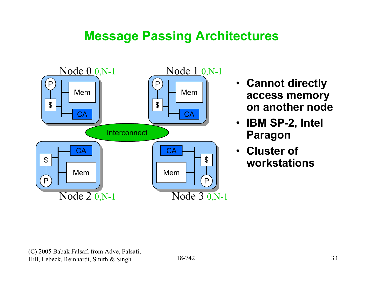### **Message Passing Architectures**



- **Cannot directly access memory on another node**
- **IBM SP-2, Intel Paragon**
- **Cluster of workstations**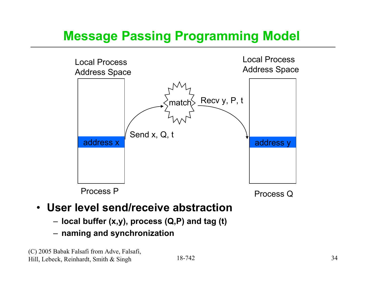## **Message Passing Programming Model**



#### • **User level send/receive abstraction**

- **local buffer (x,y), process (Q,P) and tag (t)**
- **naming and synchronization**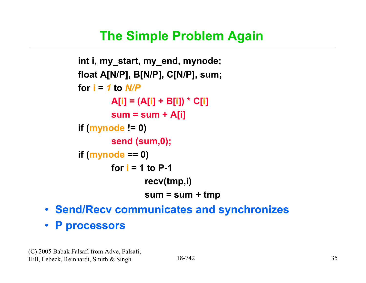### **The Simple Problem Again**

```
int i, my_start, my_end, mynode;
float A[N/P], B[N/P], C[N/P], sum;
for i = 1 to N/PA[i] = (A[i] + B[i]) * C[i]
        sum = sum + A[i]
if (mynode != 0)
        send (sum,0);
if (mynode == 0)
        for i = 1 to P-1recv(tmp,i)
                sum = sum + tmp
```
- **Send/Recv communicates and synchronizes**
- **P processors**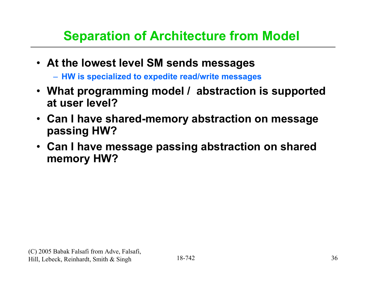## **Separation of Architecture from Model**

- **At the lowest level SM sends messages**
	- **HW is specialized to expedite read/write messages**
- **What programming model / abstraction is supported at user level?**
- **Can I have shared-memory abstraction on message passing HW?**
- **Can I have message passing abstraction on shared memory HW?**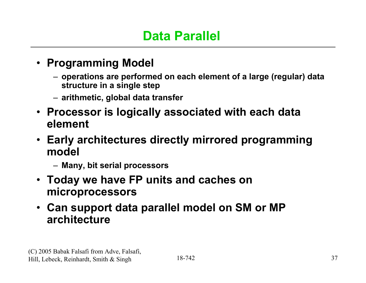- **Programming Model**
	- **operations are performed on each element of a large (regular) data structure in a single step**
	- **arithmetic, global data transfer**
- **Processor is logically associated with each data element**
- **Early architectures directly mirrored programming model**
	- **Many, bit serial processors**
- **Today we have FP units and caches on microprocessors**
- **Can support data parallel model on SM or MP architecture**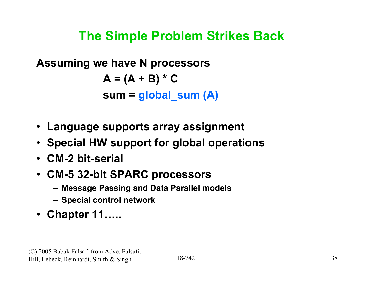**Assuming we have N processors**  $A = (A + B) * C$ **sum = global\_sum (A)**

- **Language supports array assignment**
- **Special HW support for global operations**
- **CM-2 bit-serial**
- **CM-5 32-bit SPARC processors**
	- **Message Passing and Data Parallel models**
	- **Special control network**
- **Chapter 11…..**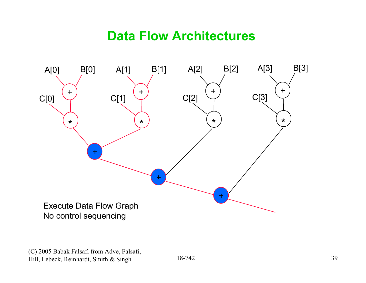#### **Data Flow Architectures**